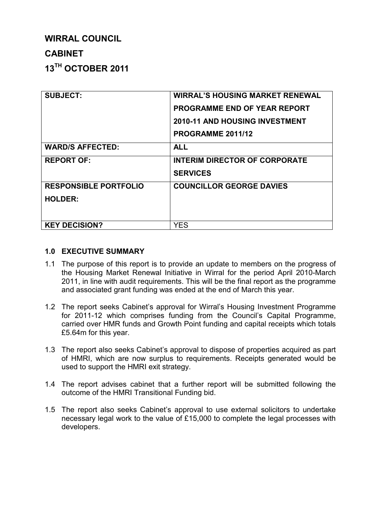# **WIRRAL COUNCIL**

# **CABINET**

**13TH OCTOBER 2011**

| <b>SUBJECT:</b>              | <b>WIRRAL'S HOUSING MARKET RENEWAL</b><br><b>PROGRAMME END OF YEAR REPORT</b><br><b>2010-11 AND HOUSING INVESTMENT</b><br>PROGRAMME 2011/12 |
|------------------------------|---------------------------------------------------------------------------------------------------------------------------------------------|
| <b>WARD/S AFFECTED:</b>      | <b>ALL</b>                                                                                                                                  |
| <b>REPORT OF:</b>            | <b>INTERIM DIRECTOR OF CORPORATE</b><br><b>SERVICES</b>                                                                                     |
| <b>RESPONSIBLE PORTFOLIO</b> | <b>COUNCILLOR GEORGE DAVIES</b>                                                                                                             |
| <b>HOLDER:</b>               |                                                                                                                                             |
| <b>KEY DECISION?</b>         | <b>YES</b>                                                                                                                                  |

## **1.0 EXECUTIVE SUMMARY**

- 1.1 The purpose of this report is to provide an update to members on the progress of the Housing Market Renewal Initiative in Wirral for the period April 2010-March 2011, in line with audit requirements. This will be the final report as the programme and associated grant funding was ended at the end of March this year.
- 1.2 The report seeks Cabinet's approval for Wirral's Housing Investment Programme for 2011-12 which comprises funding from the Council's Capital Programme, carried over HMR funds and Growth Point funding and capital receipts which totals £5.64m for this year.
- 1.3 The report also seeks Cabinet's approval to dispose of properties acquired as part of HMRI, which are now surplus to requirements. Receipts generated would be used to support the HMRI exit strategy.
- 1.4 The report advises cabinet that a further report will be submitted following the outcome of the HMRI Transitional Funding bid.
- 1.5 The report also seeks Cabinet's approval to use external solicitors to undertake necessary legal work to the value of £15,000 to complete the legal processes with developers.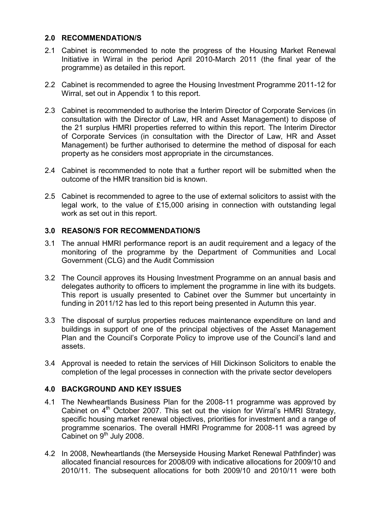#### **2.0 RECOMMENDATION/S**

- 2.1 Cabinet is recommended to note the progress of the Housing Market Renewal Initiative in Wirral in the period April 2010-March 2011 (the final year of the programme) as detailed in this report.
- 2.2 Cabinet is recommended to agree the Housing Investment Programme 2011-12 for Wirral, set out in Appendix 1 to this report.
- 2.3 Cabinet is recommended to authorise the Interim Director of Corporate Services (in consultation with the Director of Law, HR and Asset Management) to dispose of the 21 surplus HMRI properties referred to within this report. The Interim Director of Corporate Services (in consultation with the Director of Law, HR and Asset Management) be further authorised to determine the method of disposal for each property as he considers most appropriate in the circumstances.
- 2.4 Cabinet is recommended to note that a further report will be submitted when the outcome of the HMR transition bid is known.
- 2.5 Cabinet is recommended to agree to the use of external solicitors to assist with the legal work, to the value of £15,000 arising in connection with outstanding legal work as set out in this report.

## **3.0 REASON/S FOR RECOMMENDATION/S**

- 3.1 The annual HMRI performance report is an audit requirement and a legacy of the monitoring of the programme by the Department of Communities and Local Government (CLG) and the Audit Commission
- 3.2 The Council approves its Housing Investment Programme on an annual basis and delegates authority to officers to implement the programme in line with its budgets. This report is usually presented to Cabinet over the Summer but uncertainty in funding in 2011/12 has led to this report being presented in Autumn this year.
- 3.3 The disposal of surplus properties reduces maintenance expenditure on land and buildings in support of one of the principal objectives of the Asset Management Plan and the Council's Corporate Policy to improve use of the Council's land and assets.
- 3.4 Approval is needed to retain the services of Hill Dickinson Solicitors to enable the completion of the legal processes in connection with the private sector developers

#### **4.0 BACKGROUND AND KEY ISSUES**

- 4.1 The Newheartlands Business Plan for the 2008-11 programme was approved by Cabinet on  $4<sup>th</sup>$  October 2007. This set out the vision for Wirral's HMRI Strategy, specific housing market renewal objectives, priorities for investment and a range of programme scenarios. The overall HMRI Programme for 2008-11 was agreed by Cabinet on  $9<sup>th</sup>$  July 2008.
- 4.2 In 2008, Newheartlands (the Merseyside Housing Market Renewal Pathfinder) was allocated financial resources for 2008/09 with indicative allocations for 2009/10 and 2010/11. The subsequent allocations for both 2009/10 and 2010/11 were both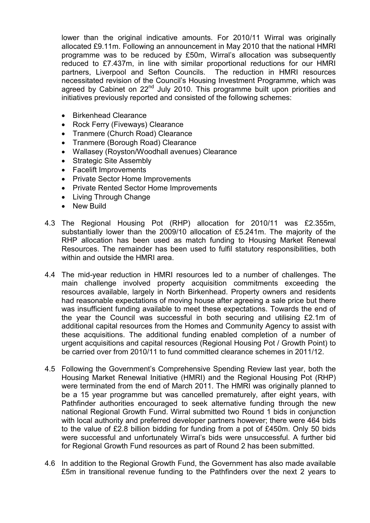lower than the original indicative amounts. For 2010/11 Wirral was originally allocated £9.11m. Following an announcement in May 2010 that the national HMRI programme was to be reduced by £50m, Wirral's allocation was subsequently reduced to £7.437m, in line with similar proportional reductions for our HMRI partners, Liverpool and Sefton Councils. The reduction in HMRI resources necessitated revision of the Council's Housing Investment Programme, which was agreed by Cabinet on 22<sup>nd</sup> July 2010. This programme built upon priorities and initiatives previously reported and consisted of the following schemes:

- Birkenhead Clearance
- Rock Ferry (Fiveways) Clearance
- Tranmere (Church Road) Clearance
- Tranmere (Borough Road) Clearance
- Wallasey (Royston/Woodhall avenues) Clearance
- Strategic Site Assembly
- Facelift Improvements
- Private Sector Home Improvements
- Private Rented Sector Home Improvements
- Living Through Change
- New Build
- 4.3 The Regional Housing Pot (RHP) allocation for 2010/11 was £2.355m, substantially lower than the 2009/10 allocation of £5.241m. The majority of the RHP allocation has been used as match funding to Housing Market Renewal Resources. The remainder has been used to fulfil statutory responsibilities, both within and outside the HMRI area.
- 4.4 The mid-year reduction in HMRI resources led to a number of challenges. The main challenge involved property acquisition commitments exceeding the resources available, largely in North Birkenhead. Property owners and residents had reasonable expectations of moving house after agreeing a sale price but there was insufficient funding available to meet these expectations. Towards the end of the year the Council was successful in both securing and utilising £2.1m of additional capital resources from the Homes and Community Agency to assist with these acquisitions. The additional funding enabled completion of a number of urgent acquisitions and capital resources (Regional Housing Pot / Growth Point) to be carried over from 2010/11 to fund committed clearance schemes in 2011/12.
- 4.5 Following the Government's Comprehensive Spending Review last year, both the Housing Market Renewal Initiative (HMRI) and the Regional Housing Pot (RHP) were terminated from the end of March 2011. The HMRI was originally planned to be a 15 year programme but was cancelled prematurely, after eight years, with Pathfinder authorities encouraged to seek alternative funding through the new national Regional Growth Fund. Wirral submitted two Round 1 bids in conjunction with local authority and preferred developer partners however; there were 464 bids to the value of £2.8 billion bidding for funding from a pot of £450m. Only 50 bids were successful and unfortunately Wirral's bids were unsuccessful. A further bid for Regional Growth Fund resources as part of Round 2 has been submitted.
- 4.6 In addition to the Regional Growth Fund, the Government has also made available £5m in transitional revenue funding to the Pathfinders over the next 2 years to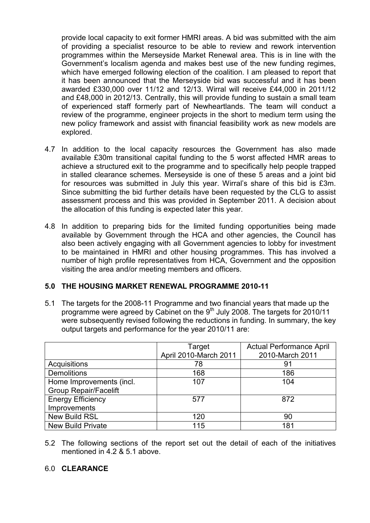provide local capacity to exit former HMRI areas. A bid was submitted with the aim of providing a specialist resource to be able to review and rework intervention programmes within the Merseyside Market Renewal area. This is in line with the Government's localism agenda and makes best use of the new funding regimes, which have emerged following election of the coalition. I am pleased to report that it has been announced that the Merseyside bid was successful and it has been awarded £330,000 over 11/12 and 12/13. Wirral will receive £44,000 in 2011/12 and £48,000 in 2012/13. Centrally, this will provide funding to sustain a small team of experienced staff formerly part of Newheartlands. The team will conduct a review of the programme, engineer projects in the short to medium term using the new policy framework and assist with financial feasibility work as new models are explored.

- 4.7 In addition to the local capacity resources the Government has also made available £30m transitional capital funding to the 5 worst affected HMR areas to achieve a structured exit to the programme and to specifically help people trapped in stalled clearance schemes. Merseyside is one of these 5 areas and a joint bid for resources was submitted in July this year. Wirral's share of this bid is £3m. Since submitting the bid further details have been requested by the CLG to assist assessment process and this was provided in September 2011. A decision about the allocation of this funding is expected later this year.
- 4.8 In addition to preparing bids for the limited funding opportunities being made available by Government through the HCA and other agencies, the Council has also been actively engaging with all Government agencies to lobby for investment to be maintained in HMRI and other housing programmes. This has involved a number of high profile representatives from HCA, Government and the opposition visiting the area and/or meeting members and officers.

#### **5.0 THE HOUSING MARKET RENEWAL PROGRAMME 2010-11**

5.1 The targets for the 2008-11 Programme and two financial years that made up the programme were agreed by Cabinet on the  $9<sup>th</sup>$  July 2008. The targets for 2010/11 were subsequently revised following the reductions in funding. In summary, the key output targets and performance for the year 2010/11 are:

|                              | Target<br>April 2010-March 2011 | <b>Actual Performance April</b><br>2010-March 2011 |
|------------------------------|---------------------------------|----------------------------------------------------|
| Acquisitions                 | 78                              | 91                                                 |
| <b>Demolitions</b>           | 168                             | 186                                                |
| Home Improvements (incl.     | 107                             | 104                                                |
| <b>Group Repair/Facelift</b> |                                 |                                                    |
| <b>Energy Efficiency</b>     | 577                             | 872                                                |
| Improvements                 |                                 |                                                    |
| <b>New Build RSL</b>         | 120                             | 90                                                 |
| <b>New Build Private</b>     | 115                             | 181                                                |

5.2 The following sections of the report set out the detail of each of the initiatives mentioned in 4.2 & 5.1 above.

#### 6.0 **CLEARANCE**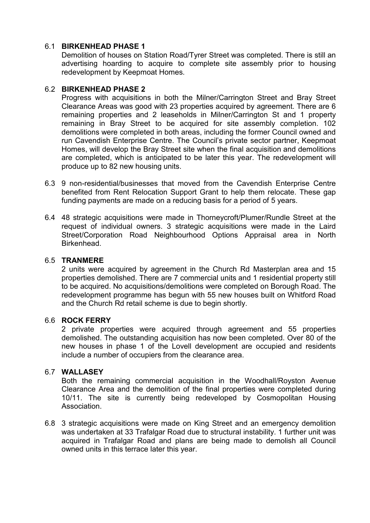## 6.1 **BIRKENHEAD PHASE 1**

 Demolition of houses on Station Road/Tyrer Street was completed. There is still an advertising hoarding to acquire to complete site assembly prior to housing redevelopment by Keepmoat Homes.

#### 6.2 **BIRKENHEAD PHASE 2**

 Progress with acquisitions in both the Milner/Carrington Street and Bray Street Clearance Areas was good with 23 properties acquired by agreement. There are 6 remaining properties and 2 leaseholds in Milner/Carrington St and 1 property remaining in Bray Street to be acquired for site assembly completion. 102 demolitions were completed in both areas, including the former Council owned and run Cavendish Enterprise Centre. The Council's private sector partner, Keepmoat Homes, will develop the Bray Street site when the final acquisition and demolitions are completed, which is anticipated to be later this year. The redevelopment will produce up to 82 new housing units.

- 6.3 9 non-residential/businesses that moved from the Cavendish Enterprise Centre benefited from Rent Relocation Support Grant to help them relocate. These gap funding payments are made on a reducing basis for a period of 5 years.
- 6.4 48 strategic acquisitions were made in Thorneycroft/Plumer/Rundle Street at the request of individual owners. 3 strategic acquisitions were made in the Laird Street/Corporation Road Neighbourhood Options Appraisal area in North Birkenhead.

#### 6.5 **TRANMERE**

 2 units were acquired by agreement in the Church Rd Masterplan area and 15 properties demolished. There are 7 commercial units and 1 residential property still to be acquired. No acquisitions/demolitions were completed on Borough Road. The redevelopment programme has begun with 55 new houses built on Whitford Road and the Church Rd retail scheme is due to begin shortly.

#### 6.6 **ROCK FERRY**

 2 private properties were acquired through agreement and 55 properties demolished. The outstanding acquisition has now been completed. Over 80 of the new houses in phase 1 of the Lovell development are occupied and residents include a number of occupiers from the clearance area.

#### 6.7 **WALLASEY**

 Both the remaining commercial acquisition in the Woodhall/Royston Avenue Clearance Area and the demolition of the final properties were completed during 10/11. The site is currently being redeveloped by Cosmopolitan Housing **Association** 

6.8 3 strategic acquisitions were made on King Street and an emergency demolition was undertaken at 33 Trafalgar Road due to structural instability. 1 further unit was acquired in Trafalgar Road and plans are being made to demolish all Council owned units in this terrace later this year.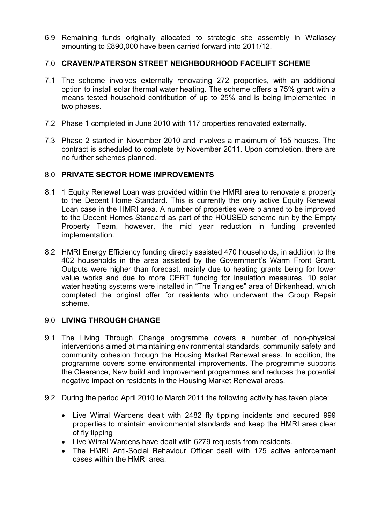6.9 Remaining funds originally allocated to strategic site assembly in Wallasey amounting to £890,000 have been carried forward into 2011/12.

## 7.0 **CRAVEN/PATERSON STREET NEIGHBOURHOOD FACELIFT SCHEME**

- 7.1 The scheme involves externally renovating 272 properties, with an additional option to install solar thermal water heating. The scheme offers a 75% grant with a means tested household contribution of up to 25% and is being implemented in two phases.
- 7.2 Phase 1 completed in June 2010 with 117 properties renovated externally.
- 7.3 Phase 2 started in November 2010 and involves a maximum of 155 houses. The contract is scheduled to complete by November 2011. Upon completion, there are no further schemes planned.

## 8.0 **PRIVATE SECTOR HOME IMPROVEMENTS**

- 8.1 1 Equity Renewal Loan was provided within the HMRI area to renovate a property to the Decent Home Standard. This is currently the only active Equity Renewal Loan case in the HMRI area. A number of properties were planned to be improved to the Decent Homes Standard as part of the HOUSED scheme run by the Empty Property Team, however, the mid year reduction in funding prevented implementation.
- 8.2 HMRI Energy Efficiency funding directly assisted 470 households, in addition to the 402 households in the area assisted by the Government's Warm Front Grant. Outputs were higher than forecast, mainly due to heating grants being for lower value works and due to more CERT funding for insulation measures. 10 solar water heating systems were installed in "The Triangles" area of Birkenhead, which completed the original offer for residents who underwent the Group Repair scheme.

# 9.0 **LIVING THROUGH CHANGE**

- 9.1 The Living Through Change programme covers a number of non-physical interventions aimed at maintaining environmental standards, community safety and community cohesion through the Housing Market Renewal areas. In addition, the programme covers some environmental improvements. The programme supports the Clearance, New build and Improvement programmes and reduces the potential negative impact on residents in the Housing Market Renewal areas.
- 9.2 During the period April 2010 to March 2011 the following activity has taken place:
	- Live Wirral Wardens dealt with 2482 fly tipping incidents and secured 999 properties to maintain environmental standards and keep the HMRI area clear of fly tipping
	- Live Wirral Wardens have dealt with 6279 requests from residents.
	- The HMRI Anti-Social Behaviour Officer dealt with 125 active enforcement cases within the HMRI area.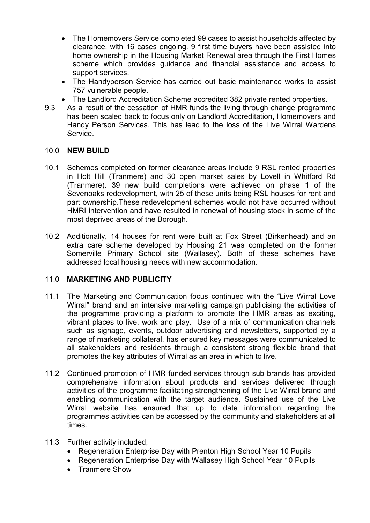- The Homemovers Service completed 99 cases to assist households affected by clearance, with 16 cases ongoing. 9 first time buyers have been assisted into home ownership in the Housing Market Renewal area through the First Homes scheme which provides guidance and financial assistance and access to support services.
- The Handyperson Service has carried out basic maintenance works to assist 757 vulnerable people.
- The Landlord Accreditation Scheme accredited 382 private rented properties.
- 9.3 As a result of the cessation of HMR funds the living through change programme has been scaled back to focus only on Landlord Accreditation, Homemovers and Handy Person Services. This has lead to the loss of the Live Wirral Wardens Service.

## 10.0 **NEW BUILD**

- 10.1 Schemes completed on former clearance areas include 9 RSL rented properties in Holt Hill (Tranmere) and 30 open market sales by Lovell in Whitford Rd (Tranmere). 39 new build completions were achieved on phase 1 of the Sevenoaks redevelopment, with 25 of these units being RSL houses for rent and part ownership.These redevelopment schemes would not have occurred without HMRI intervention and have resulted in renewal of housing stock in some of the most deprived areas of the Borough.
- 10.2 Additionally, 14 houses for rent were built at Fox Street (Birkenhead) and an extra care scheme developed by Housing 21 was completed on the former Somerville Primary School site (Wallasey). Both of these schemes have addressed local housing needs with new accommodation.

# 11.0 **MARKETING AND PUBLICITY**

- 11.1 The Marketing and Communication focus continued with the "Live Wirral Love Wirral" brand and an intensive marketing campaign publicising the activities of the programme providing a platform to promote the HMR areas as exciting, vibrant places to live, work and play. Use of a mix of communication channels such as signage, events, outdoor advertising and newsletters, supported by a range of marketing collateral, has ensured key messages were communicated to all stakeholders and residents through a consistent strong flexible brand that promotes the key attributes of Wirral as an area in which to live.
- 11.2 Continued promotion of HMR funded services through sub brands has provided comprehensive information about products and services delivered through activities of the programme facilitating strengthening of the Live Wirral brand and enabling communication with the target audience. Sustained use of the Live Wirral website has ensured that up to date information regarding the programmes activities can be accessed by the community and stakeholders at all times.
- 11.3 Further activity included;
	- Regeneration Enterprise Day with Prenton High School Year 10 Pupils
	- Regeneration Enterprise Day with Wallasey High School Year 10 Pupils
	- Tranmere Show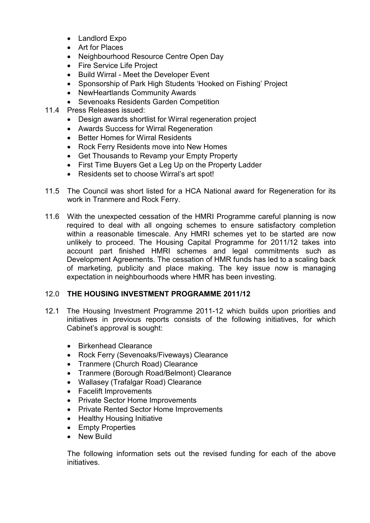- Landlord Expo
- Art for Places
- Neighbourhood Resource Centre Open Day
- Fire Service Life Project
- Build Wirral Meet the Developer Event
- Sponsorship of Park High Students 'Hooked on Fishing' Project
- NewHeartlands Community Awards
- Sevenoaks Residents Garden Competition
- 11.4 Press Releases issued:
	- Design awards shortlist for Wirral regeneration project
	- Awards Success for Wirral Regeneration
	- Better Homes for Wirral Residents
	- Rock Ferry Residents move into New Homes
	- Get Thousands to Revamp your Empty Property
	- First Time Buyers Get a Leg Up on the Property Ladder
	- Residents set to choose Wirral's art spot!
- 11.5 The Council was short listed for a HCA National award for Regeneration for its work in Tranmere and Rock Ferry.
- 11.6 With the unexpected cessation of the HMRI Programme careful planning is now required to deal with all ongoing schemes to ensure satisfactory completion within a reasonable timescale. Any HMRI schemes yet to be started are now unlikely to proceed. The Housing Capital Programme for 2011/12 takes into account part finished HMRI schemes and legal commitments such as Development Agreements. The cessation of HMR funds has led to a scaling back of marketing, publicity and place making. The key issue now is managing expectation in neighbourhoods where HMR has been investing.

#### 12.0 **THE HOUSING INVESTMENT PROGRAMME 2011/12**

- 12.1 The Housing Investment Programme 2011-12 which builds upon priorities and initiatives in previous reports consists of the following initiatives, for which Cabinet's approval is sought:
	- Birkenhead Clearance
	- Rock Ferry (Sevenoaks/Fiveways) Clearance
	- Tranmere (Church Road) Clearance
	- Tranmere (Borough Road/Belmont) Clearance
	- Wallasey (Trafalgar Road) Clearance
	- Facelift Improvements
	- Private Sector Home Improvements
	- Private Rented Sector Home Improvements
	- Healthy Housing Initiative
	- Empty Properties
	- New Build

The following information sets out the revised funding for each of the above initiatives.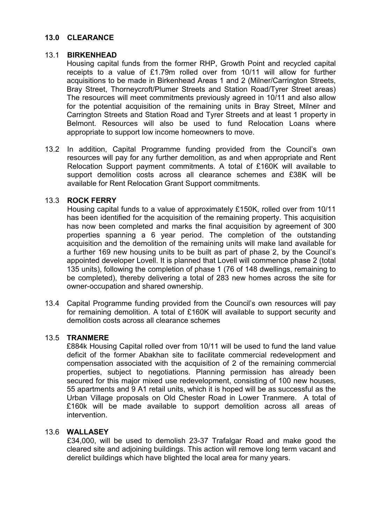#### **13.0 CLEARANCE**

#### 13.1 **BIRKENHEAD**

 Housing capital funds from the former RHP, Growth Point and recycled capital receipts to a value of £1.79m rolled over from 10/11 will allow for further acquisitions to be made in Birkenhead Areas 1 and 2 (Milner/Carrington Streets, Bray Street, Thorneycroft/Plumer Streets and Station Road/Tyrer Street areas) The resources will meet commitments previously agreed in 10/11 and also allow for the potential acquisition of the remaining units in Bray Street, Milner and Carrington Streets and Station Road and Tyrer Streets and at least 1 property in Belmont. Resources will also be used to fund Relocation Loans where appropriate to support low income homeowners to move.

13.2 In addition, Capital Programme funding provided from the Council's own resources will pay for any further demolition, as and when appropriate and Rent Relocation Support payment commitments. A total of £160K will available to support demolition costs across all clearance schemes and £38K will be available for Rent Relocation Grant Support commitments.

#### 13.3 **ROCK FERRY**

Housing capital funds to a value of approximately £150K, rolled over from 10/11 has been identified for the acquisition of the remaining property. This acquisition has now been completed and marks the final acquisition by agreement of 300 properties spanning a 6 year period. The completion of the outstanding acquisition and the demolition of the remaining units will make land available for a further 169 new housing units to be built as part of phase 2, by the Council's appointed developer Lovell. It is planned that Lovell will commence phase 2 (total 135 units), following the completion of phase 1 (76 of 148 dwellings, remaining to be completed), thereby delivering a total of 283 new homes across the site for owner-occupation and shared ownership.

13.4 Capital Programme funding provided from the Council's own resources will pay for remaining demolition. A total of £160K will available to support security and demolition costs across all clearance schemes

#### 13.5 **TRANMERE**

 £884k Housing Capital rolled over from 10/11 will be used to fund the land value deficit of the former Abakhan site to facilitate commercial redevelopment and compensation associated with the acquisition of 2 of the remaining commercial properties, subject to negotiations. Planning permission has already been secured for this major mixed use redevelopment, consisting of 100 new houses, 55 apartments and 9 A1 retail units, which it is hoped will be as successful as the Urban Village proposals on Old Chester Road in Lower Tranmere. A total of £160k will be made available to support demolition across all areas of intervention.

#### 13.6 **WALLASEY**

£34,000, will be used to demolish 23-37 Trafalgar Road and make good the cleared site and adjoining buildings. This action will remove long term vacant and derelict buildings which have blighted the local area for many years.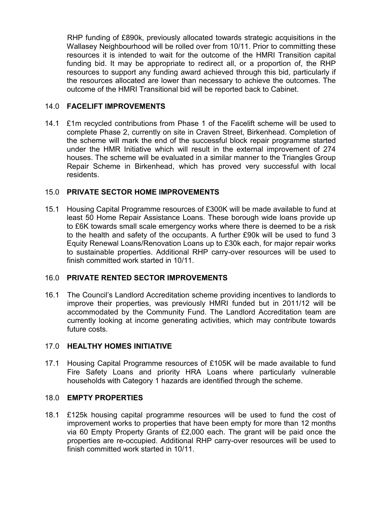RHP funding of £890k, previously allocated towards strategic acquisitions in the Wallasey Neighbourhood will be rolled over from 10/11. Prior to committing these resources it is intended to wait for the outcome of the HMRI Transition capital funding bid. It may be appropriate to redirect all, or a proportion of, the RHP resources to support any funding award achieved through this bid, particularly if the resources allocated are lower than necessary to achieve the outcomes. The outcome of the HMRI Transitional bid will be reported back to Cabinet.

## 14.0 **FACELIFT IMPROVEMENTS**

14.1 £1m recycled contributions from Phase 1 of the Facelift scheme will be used to complete Phase 2, currently on site in Craven Street, Birkenhead. Completion of the scheme will mark the end of the successful block repair programme started under the HMR Initiative which will result in the external improvement of 274 houses. The scheme will be evaluated in a similar manner to the Triangles Group Repair Scheme in Birkenhead, which has proved very successful with local residents.

# 15.0 **PRIVATE SECTOR HOME IMPROVEMENTS**

15.1 Housing Capital Programme resources of £300K will be made available to fund at least 50 Home Repair Assistance Loans. These borough wide loans provide up to £6K towards small scale emergency works where there is deemed to be a risk to the health and safety of the occupants. A further £90k will be used to fund 3 Equity Renewal Loans/Renovation Loans up to £30k each, for major repair works to sustainable properties. Additional RHP carry-over resources will be used to finish committed work started in 10/11.

#### 16.0 **PRIVATE RENTED SECTOR IMPROVEMENTS**

16.1 The Council's Landlord Accreditation scheme providing incentives to landlords to improve their properties, was previously HMRI funded but in 2011/12 will be accommodated by the Community Fund. The Landlord Accreditation team are currently looking at income generating activities, which may contribute towards future costs.

#### 17.0 **HEALTHY HOMES INITIATIVE**

17.1 Housing Capital Programme resources of £105K will be made available to fund Fire Safety Loans and priority HRA Loans where particularly vulnerable households with Category 1 hazards are identified through the scheme.

#### 18.0 **EMPTY PROPERTIES**

18.1 £125k housing capital programme resources will be used to fund the cost of improvement works to properties that have been empty for more than 12 months via 60 Empty Property Grants of £2,000 each. The grant will be paid once the properties are re-occupied. Additional RHP carry-over resources will be used to finish committed work started in 10/11.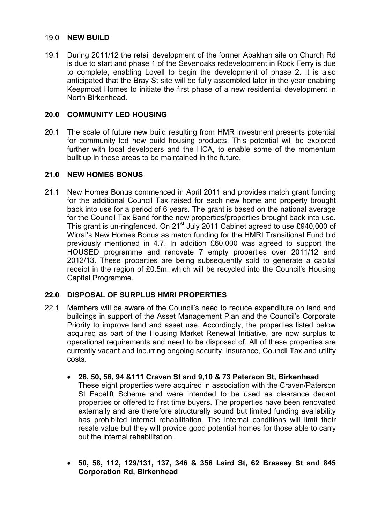#### 19.0 **NEW BUILD**

19.1 During 2011/12 the retail development of the former Abakhan site on Church Rd is due to start and phase 1 of the Sevenoaks redevelopment in Rock Ferry is due to complete, enabling Lovell to begin the development of phase 2. It is also anticipated that the Bray St site will be fully assembled later in the year enabling Keepmoat Homes to initiate the first phase of a new residential development in North Birkenhead.

#### **20.0 COMMUNITY LED HOUSING**

20.1 The scale of future new build resulting from HMR investment presents potential for community led new build housing products. This potential will be explored further with local developers and the HCA, to enable some of the momentum built up in these areas to be maintained in the future.

#### **21.0 NEW HOMES BONUS**

21.1 New Homes Bonus commenced in April 2011 and provides match grant funding for the additional Council Tax raised for each new home and property brought back into use for a period of 6 years. The grant is based on the national average for the Council Tax Band for the new properties/properties brought back into use. This grant is un-ringfenced. On 21<sup>st</sup> July 2011 Cabinet agreed to use £940,000 of Wirral's New Homes Bonus as match funding for the HMRI Transitional Fund bid previously mentioned in 4.7. In addition £60,000 was agreed to support the HOUSED programme and renovate 7 empty properties over 2011/12 and 2012/13. These properties are being subsequently sold to generate a capital receipt in the region of £0.5m, which will be recycled into the Council's Housing Capital Programme.

#### **22.0 DISPOSAL OF SURPLUS HMRI PROPERTIES**

- 22.1 Members will be aware of the Council's need to reduce expenditure on land and buildings in support of the Asset Management Plan and the Council's Corporate Priority to improve land and asset use. Accordingly, the properties listed below acquired as part of the Housing Market Renewal Initiative, are now surplus to operational requirements and need to be disposed of. All of these properties are currently vacant and incurring ongoing security, insurance, Council Tax and utility costs.
	- **26, 50, 56, 94 &111 Craven St and 9,10 & 73 Paterson St, Birkenhead**  These eight properties were acquired in association with the Craven/Paterson St Facelift Scheme and were intended to be used as clearance decant properties or offered to first time buyers. The properties have been renovated externally and are therefore structurally sound but limited funding availability has prohibited internal rehabilitation. The internal conditions will limit their resale value but they will provide good potential homes for those able to carry out the internal rehabilitation.
	- **50, 58, 112, 129/131, 137, 346 & 356 Laird St, 62 Brassey St and 845 Corporation Rd, Birkenhead**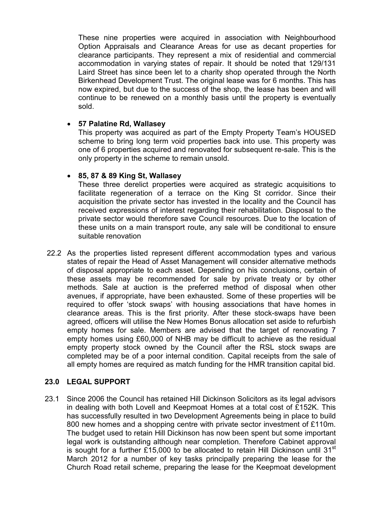These nine properties were acquired in association with Neighbourhood Option Appraisals and Clearance Areas for use as decant properties for clearance participants. They represent a mix of residential and commercial accommodation in varying states of repair. It should be noted that 129/131 Laird Street has since been let to a charity shop operated through the North Birkenhead Development Trust. The original lease was for 6 months. This has now expired, but due to the success of the shop, the lease has been and will continue to be renewed on a monthly basis until the property is eventually sold.

#### • **57 Palatine Rd, Wallasey**

This property was acquired as part of the Empty Property Team's HOUSED scheme to bring long term void properties back into use. This property was one of 6 properties acquired and renovated for subsequent re-sale. This is the only property in the scheme to remain unsold.

## • **85, 87 & 89 King St, Wallasey**

These three derelict properties were acquired as strategic acquisitions to facilitate regeneration of a terrace on the King St corridor. Since their acquisition the private sector has invested in the locality and the Council has received expressions of interest regarding their rehabilitation. Disposal to the private sector would therefore save Council resources. Due to the location of these units on a main transport route, any sale will be conditional to ensure suitable renovation

22.2 As the properties listed represent different accommodation types and various states of repair the Head of Asset Management will consider alternative methods of disposal appropriate to each asset. Depending on his conclusions, certain of these assets may be recommended for sale by private treaty or by other methods. Sale at auction is the preferred method of disposal when other avenues, if appropriate, have been exhausted. Some of these properties will be required to offer 'stock swaps' with housing associations that have homes in clearance areas. This is the first priority. After these stock-swaps have been agreed, officers will utilise the New Homes Bonus allocation set aside to refurbish empty homes for sale. Members are advised that the target of renovating 7 empty homes using £60,000 of NHB may be difficult to achieve as the residual empty property stock owned by the Council after the RSL stock swaps are completed may be of a poor internal condition. Capital receipts from the sale of all empty homes are required as match funding for the HMR transition capital bid.

#### **23.0 LEGAL SUPPORT**

23.1 Since 2006 the Council has retained Hill Dickinson Solicitors as its legal advisors in dealing with both Lovell and Keepmoat Homes at a total cost of £152K. This has successfully resulted in two Development Agreements being in place to build 800 new homes and a shopping centre with private sector investment of £110m. The budget used to retain Hill Dickinson has now been spent but some important legal work is outstanding although near completion. Therefore Cabinet approval is sought for a further £15,000 to be allocated to retain Hill Dickinson until 31<sup>st</sup> March 2012 for a number of key tasks principally preparing the lease for the Church Road retail scheme, preparing the lease for the Keepmoat development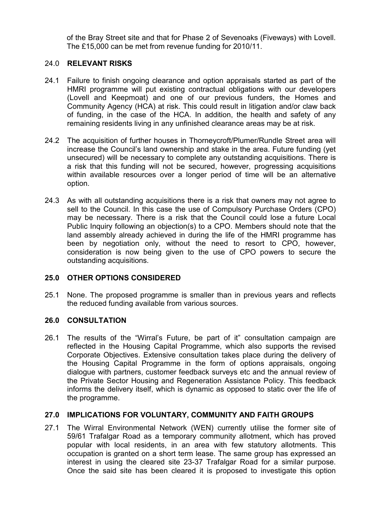of the Bray Street site and that for Phase 2 of Sevenoaks (Fiveways) with Lovell. The £15,000 can be met from revenue funding for 2010/11.

#### 24.0 **RELEVANT RISKS**

- 24.1 Failure to finish ongoing clearance and option appraisals started as part of the HMRI programme will put existing contractual obligations with our developers (Lovell and Keepmoat) and one of our previous funders, the Homes and Community Agency (HCA) at risk. This could result in litigation and/or claw back of funding, in the case of the HCA. In addition, the health and safety of any remaining residents living in any unfinished clearance areas may be at risk.
- 24.2 The acquisition of further houses in Thorneycroft/Plumer/Rundle Street area will increase the Council's land ownership and stake in the area. Future funding (yet unsecured) will be necessary to complete any outstanding acquisitions. There is a risk that this funding will not be secured, however, progressing acquisitions within available resources over a longer period of time will be an alternative option.
- 24.3 As with all outstanding acquisitions there is a risk that owners may not agree to sell to the Council. In this case the use of Compulsory Purchase Orders (CPO) may be necessary. There is a risk that the Council could lose a future Local Public Inquiry following an objection(s) to a CPO. Members should note that the land assembly already achieved in during the life of the HMRI programme has been by negotiation only, without the need to resort to CPO, however, consideration is now being given to the use of CPO powers to secure the outstanding acquisitions.

# **25.0 OTHER OPTIONS CONSIDERED**

25.1 None. The proposed programme is smaller than in previous years and reflects the reduced funding available from various sources.

#### **26.0 CONSULTATION**

26.1 The results of the "Wirral's Future, be part of it" consultation campaign are reflected in the Housing Capital Programme, which also supports the revised Corporate Objectives. Extensive consultation takes place during the delivery of the Housing Capital Programme in the form of options appraisals, ongoing dialogue with partners, customer feedback surveys etc and the annual review of the Private Sector Housing and Regeneration Assistance Policy. This feedback informs the delivery itself, which is dynamic as opposed to static over the life of the programme.

#### **27.0 IMPLICATIONS FOR VOLUNTARY, COMMUNITY AND FAITH GROUPS**

27.1 The Wirral Environmental Network (WEN) currently utilise the former site of 59/61 Trafalgar Road as a temporary community allotment, which has proved popular with local residents, in an area with few statutory allotments. This occupation is granted on a short term lease. The same group has expressed an interest in using the cleared site 23-37 Trafalgar Road for a similar purpose. Once the said site has been cleared it is proposed to investigate this option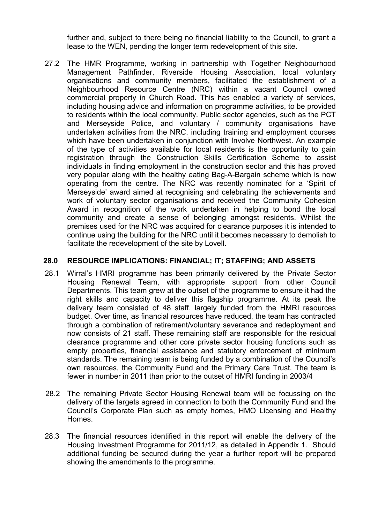further and, subject to there being no financial liability to the Council, to grant a lease to the WEN, pending the longer term redevelopment of this site.

27.2 The HMR Programme, working in partnership with Together Neighbourhood Management Pathfinder, Riverside Housing Association, local voluntary organisations and community members, facilitated the establishment of a Neighbourhood Resource Centre (NRC) within a vacant Council owned commercial property in Church Road. This has enabled a variety of services, including housing advice and information on programme activities, to be provided to residents within the local community. Public sector agencies, such as the PCT and Merseyside Police, and voluntary / community organisations have undertaken activities from the NRC, including training and employment courses which have been undertaken in conjunction with Involve Northwest. An example of the type of activities available for local residents is the opportunity to gain registration through the Construction Skills Certification Scheme to assist individuals in finding employment in the construction sector and this has proved very popular along with the healthy eating Bag-A-Bargain scheme which is now operating from the centre. The NRC was recently nominated for a 'Spirit of Merseyside' award aimed at recognising and celebrating the achievements and work of voluntary sector organisations and received the Community Cohesion Award in recognition of the work undertaken in helping to bond the local community and create a sense of belonging amongst residents. Whilst the premises used for the NRC was acquired for clearance purposes it is intended to continue using the building for the NRC until it becomes necessary to demolish to facilitate the redevelopment of the site by Lovell.

#### **28.0 RESOURCE IMPLICATIONS: FINANCIAL; IT; STAFFING; AND ASSETS**

- 28.1 Wirral's HMRI programme has been primarily delivered by the Private Sector Housing Renewal Team, with appropriate support from other Council Departments. This team grew at the outset of the programme to ensure it had the right skills and capacity to deliver this flagship programme. At its peak the delivery team consisted of 48 staff, largely funded from the HMRI resources budget. Over time, as financial resources have reduced, the team has contracted through a combination of retirement/voluntary severance and redeployment and now consists of 21 staff. These remaining staff are responsible for the residual clearance programme and other core private sector housing functions such as empty properties, financial assistance and statutory enforcement of minimum standards. The remaining team is being funded by a combination of the Council's own resources, the Community Fund and the Primary Care Trust. The team is fewer in number in 2011 than prior to the outset of HMRI funding in 2003/4
- 28.2 The remaining Private Sector Housing Renewal team will be focussing on the delivery of the targets agreed in connection to both the Community Fund and the Council's Corporate Plan such as empty homes, HMO Licensing and Healthy Homes.
- 28.3 The financial resources identified in this report will enable the delivery of the Housing Investment Programme for 2011/12, as detailed in Appendix 1. Should additional funding be secured during the year a further report will be prepared showing the amendments to the programme.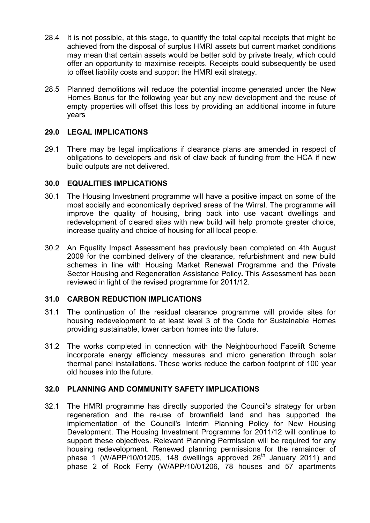- 28.4 It is not possible, at this stage, to quantify the total capital receipts that might be achieved from the disposal of surplus HMRI assets but current market conditions may mean that certain assets would be better sold by private treaty, which could offer an opportunity to maximise receipts. Receipts could subsequently be used to offset liability costs and support the HMRI exit strategy.
- 28.5 Planned demolitions will reduce the potential income generated under the New Homes Bonus for the following year but any new development and the reuse of empty properties will offset this loss by providing an additional income in future years

## **29.0 LEGAL IMPLICATIONS**

29.1 There may be legal implications if clearance plans are amended in respect of obligations to developers and risk of claw back of funding from the HCA if new build outputs are not delivered.

## **30.0 EQUALITIES IMPLICATIONS**

- 30.1 The Housing Investment programme will have a positive impact on some of the most socially and economically deprived areas of the Wirral. The programme will improve the quality of housing, bring back into use vacant dwellings and redevelopment of cleared sites with new build will help promote greater choice, increase quality and choice of housing for all local people.
- 30.2 An Equality Impact Assessment has previously been completed on 4th August 2009 for the combined delivery of the clearance, refurbishment and new build schemes in line with Housing Market Renewal Programme and the Private Sector Housing and Regeneration Assistance Policy**.** This Assessment has been reviewed in light of the revised programme for 2011/12.

#### **31.0 CARBON REDUCTION IMPLICATIONS**

- 31.1 The continuation of the residual clearance programme will provide sites for housing redevelopment to at least level 3 of the Code for Sustainable Homes providing sustainable, lower carbon homes into the future.
- 31.2 The works completed in connection with the Neighbourhood Facelift Scheme incorporate energy efficiency measures and micro generation through solar thermal panel installations. These works reduce the carbon footprint of 100 year old houses into the future.

#### **32.0 PLANNING AND COMMUNITY SAFETY IMPLICATIONS**

32.1 The HMRI programme has directly supported the Council's strategy for urban regeneration and the re-use of brownfield land and has supported the implementation of the Council's Interim Planning Policy for New Housing Development. The Housing Investment Programme for 2011/12 will continue to support these objectives. Relevant Planning Permission will be required for any housing redevelopment. Renewed planning permissions for the remainder of phase 1 (W/APP/10/01205, 148 dwellings approved  $26<sup>th</sup>$  January 2011) and phase 2 of Rock Ferry (W/APP/10/01206, 78 houses and 57 apartments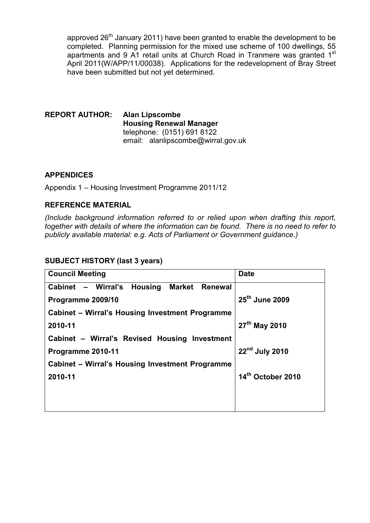approved  $26<sup>th</sup>$  January 2011) have been granted to enable the development to be completed. Planning permission for the mixed use scheme of 100 dwellings, 55 apartments and 9 A1 retail units at Church Road in Tranmere was granted 1<sup>st</sup> April 2011(W/APP/11/00038). Applications for the redevelopment of Bray Street have been submitted but not yet determined.

**REPORT AUTHOR: Alan Lipscombe Housing Renewal Manager** telephone: (0151) 691 8122 email: alanlipscombe@wirral.gov.uk

# **APPENDICES**

Appendix 1 – Housing Investment Programme 2011/12

## **REFERENCE MATERIAL**

*(Include background information referred to or relied upon when drafting this report, together with details of where the information can be found. There is no need to refer to publicly available material: e.g. Acts of Parliament or Government guidance.)* 

#### **SUBJECT HISTORY (last 3 years)**

| <b>Council Meeting</b>                                 | <b>Date</b>                |  |  |  |  |  |
|--------------------------------------------------------|----------------------------|--|--|--|--|--|
| Cabinet - Wirral's Housing<br>Market<br><b>Renewal</b> |                            |  |  |  |  |  |
| Programme 2009/10                                      | $25th$ June 2009           |  |  |  |  |  |
| Cabinet – Wirral's Housing Investment Programme        |                            |  |  |  |  |  |
| 2010-11                                                | 27 <sup>th</sup> May 2010  |  |  |  |  |  |
| Cabinet - Wirral's Revised Housing Investment          |                            |  |  |  |  |  |
| Programme 2010-11                                      | 22 <sup>nd</sup> July 2010 |  |  |  |  |  |
| Cabinet – Wirral's Housing Investment Programme        |                            |  |  |  |  |  |
| 2010-11                                                | 14th October 2010          |  |  |  |  |  |
|                                                        |                            |  |  |  |  |  |
|                                                        |                            |  |  |  |  |  |